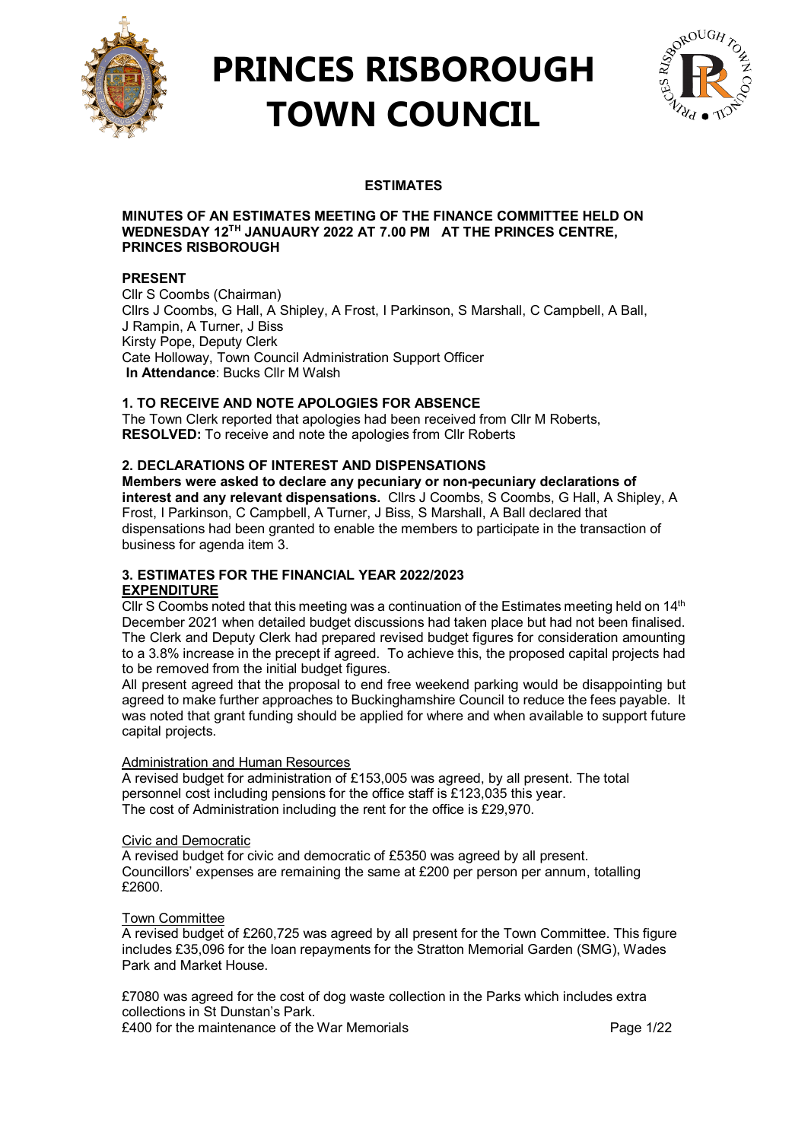

## **PRINCES RISBOROUGH TOWN COUNCIL**



## **ESTIMATES**

#### **MINUTES OF AN ESTIMATES MEETING OF THE FINANCE COMMITTEE HELD ON WEDNESDAY 12TH JANUAURY 2022 AT 7.00 PM AT THE PRINCES CENTRE, PRINCES RISBOROUGH**

## **PRESENT**

Cllr S Coombs (Chairman) Cllrs J Coombs, G Hall, A Shipley, A Frost, I Parkinson, S Marshall, C Campbell, A Ball, J Rampin, A Turner, J Biss Kirsty Pope, Deputy Clerk Cate Holloway, Town Council Administration Support Officer **In Attendance**: Bucks Cllr M Walsh

## **1. TO RECEIVE AND NOTE APOLOGIES FOR ABSENCE**

The Town Clerk reported that apologies had been received from Cllr M Roberts, **RESOLVED:** To receive and note the apologies from Cllr Roberts

## **2. DECLARATIONS OF INTEREST AND DISPENSATIONS**

**Members were asked to declare any pecuniary or non-pecuniary declarations of interest and any relevant dispensations.** Cllrs J Coombs, S Coombs, G Hall, A Shipley, A Frost, I Parkinson, C Campbell, A Turner, J Biss, S Marshall, A Ball declared that dispensations had been granted to enable the members to participate in the transaction of business for agenda item 3.

## **3. ESTIMATES FOR THE FINANCIAL YEAR 2022/2023 EXPENDITURE**

Cllr S Coombs noted that this meeting was a continuation of the Estimates meeting held on  $14<sup>th</sup>$ December 2021 when detailed budget discussions had taken place but had not been finalised. The Clerk and Deputy Clerk had prepared revised budget figures for consideration amounting to a 3.8% increase in the precept if agreed. To achieve this, the proposed capital projects had to be removed from the initial budget figures.

All present agreed that the proposal to end free weekend parking would be disappointing but agreed to make further approaches to Buckinghamshire Council to reduce the fees payable. It was noted that grant funding should be applied for where and when available to support future capital projects.

## Administration and Human Resources

A revised budget for administration of £153,005 was agreed, by all present. The total personnel cost including pensions for the office staff is £123,035 this year. The cost of Administration including the rent for the office is £29,970.

## Civic and Democratic

A revised budget for civic and democratic of £5350 was agreed by all present. Councillors' expenses are remaining the same at £200 per person per annum, totalling £2600.

## Town Committee

A revised budget of £260,725 was agreed by all present for the Town Committee. This figure includes £35,096 for the loan repayments for the Stratton Memorial Garden (SMG), Wades Park and Market House.

£7080 was agreed for the cost of dog waste collection in the Parks which includes extra collections in St Dunstan's Park. £400 for the maintenance of the War Memorials Page 1/22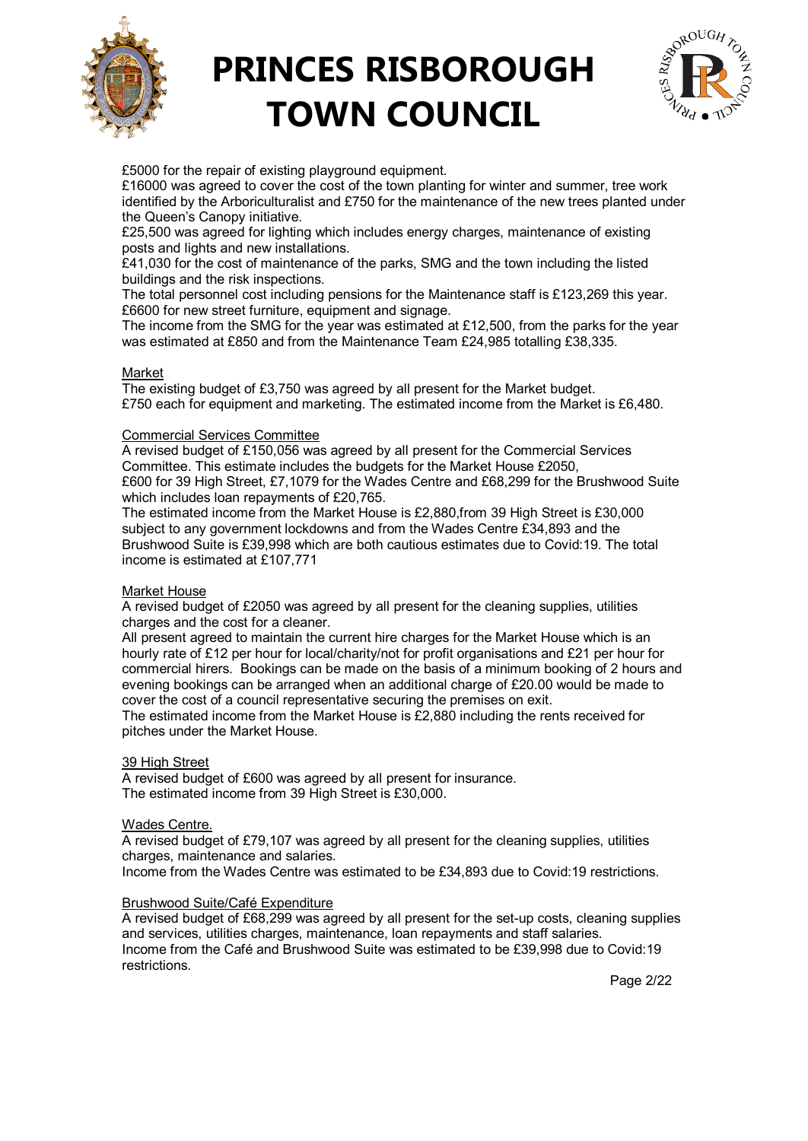

## **PRINCES RISBOROUGH TOWN COUNCIL**



£5000 for the repair of existing playground equipment.

£16000 was agreed to cover the cost of the town planting for winter and summer, tree work identified by the Arboriculturalist and £750 for the maintenance of the new trees planted under the Queen's Canopy initiative.

£25,500 was agreed for lighting which includes energy charges, maintenance of existing posts and lights and new installations.

£41,030 for the cost of maintenance of the parks, SMG and the town including the listed buildings and the risk inspections.

The total personnel cost including pensions for the Maintenance staff is £123,269 this year. £6600 for new street furniture, equipment and signage.

The income from the SMG for the year was estimated at £12,500, from the parks for the year was estimated at £850 and from the Maintenance Team £24,985 totalling £38,335.

#### Market

The existing budget of £3,750 was agreed by all present for the Market budget. £750 each for equipment and marketing. The estimated income from the Market is £6,480.

#### Commercial Services Committee

A revised budget of £150,056 was agreed by all present for the Commercial Services Committee. This estimate includes the budgets for the Market House £2050, £600 for 39 High Street, £7,1079 for the Wades Centre and £68,299 for the Brushwood Suite which includes loan repayments of £20,765.

The estimated income from the Market House is £2,880,from 39 High Street is £30,000 subject to any government lockdowns and from the Wades Centre £34,893 and the Brushwood Suite is £39,998 which are both cautious estimates due to Covid:19. The total income is estimated at £107,771

## Market House

A revised budget of £2050 was agreed by all present for the cleaning supplies, utilities charges and the cost for a cleaner.

All present agreed to maintain the current hire charges for the Market House which is an hourly rate of £12 per hour for local/charity/not for profit organisations and £21 per hour for commercial hirers. Bookings can be made on the basis of a minimum booking of 2 hours and evening bookings can be arranged when an additional charge of £20.00 would be made to cover the cost of a council representative securing the premises on exit.

The estimated income from the Market House is  $£2,880$  including the rents received for pitches under the Market House.

## 39 High Street

A revised budget of £600 was agreed by all present for insurance. The estimated income from 39 High Street is £30,000.

#### Wades Centre.

A revised budget of £79,107 was agreed by all present for the cleaning supplies, utilities charges, maintenance and salaries.

Income from the Wades Centre was estimated to be £34,893 due to Covid:19 restrictions.

#### Brushwood Suite/Café Expenditure

A revised budget of £68,299 was agreed by all present for the set-up costs, cleaning supplies and services, utilities charges, maintenance, loan repayments and staff salaries. Income from the Café and Brushwood Suite was estimated to be £39,998 due to Covid:19 restrictions.

Page 2/22  $\sim$  Page 2/22